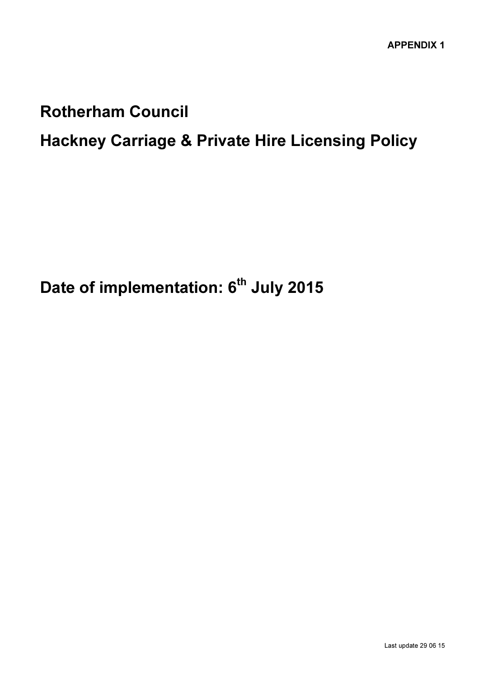# Rotherham Council

# Hackney Carriage & Private Hire Licensing Policy

Date of implementation: 6<sup>th</sup> July 2015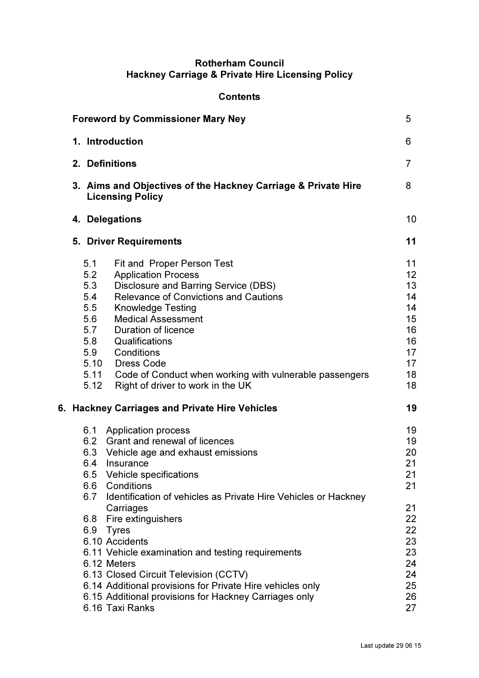# Rotherham Council Hackney Carriage & Private Hire Licensing Policy

# **Contents**

| <b>Foreword by Commissioner Mary Ney</b> |                                                                                                                                                                                                                                                                                                                                                                                                                                                                                                                                          |                                                                                        |
|------------------------------------------|------------------------------------------------------------------------------------------------------------------------------------------------------------------------------------------------------------------------------------------------------------------------------------------------------------------------------------------------------------------------------------------------------------------------------------------------------------------------------------------------------------------------------------------|----------------------------------------------------------------------------------------|
| 1. Introduction                          |                                                                                                                                                                                                                                                                                                                                                                                                                                                                                                                                          |                                                                                        |
| 2. Definitions                           |                                                                                                                                                                                                                                                                                                                                                                                                                                                                                                                                          |                                                                                        |
|                                          | 3. Aims and Objectives of the Hackney Carriage & Private Hire<br><b>Licensing Policy</b>                                                                                                                                                                                                                                                                                                                                                                                                                                                 | 8                                                                                      |
|                                          | 4. Delegations                                                                                                                                                                                                                                                                                                                                                                                                                                                                                                                           | 10                                                                                     |
|                                          | <b>5. Driver Requirements</b>                                                                                                                                                                                                                                                                                                                                                                                                                                                                                                            | 11                                                                                     |
| 5.1<br>5.2<br>5.3<br>5.4<br>5.5<br>5.12  | <b>Fit and Proper Person Test</b><br><b>Application Process</b><br>Disclosure and Barring Service (DBS)<br><b>Relevance of Convictions and Cautions</b><br><b>Knowledge Testing</b><br>5.6 Medical Assessment<br>5.7 Duration of licence<br>5.8 Qualifications<br>5.9 Conditions<br>5.10 Dress Code<br>5.11 Code of Conduct when working with vulnerable passengers<br>Right of driver to work in the UK                                                                                                                                 | 11<br>12 <sup>2</sup><br>13<br>14<br>14<br>15<br>16<br>16<br>17<br>17<br>18<br>18      |
|                                          | 6. Hackney Carriages and Private Hire Vehicles                                                                                                                                                                                                                                                                                                                                                                                                                                                                                           | 19                                                                                     |
| 6.4<br>6.6<br>6.7<br>6.8<br>6.9          | 6.1 Application process<br>6.2 Grant and renewal of licences<br>6.3 Vehicle age and exhaust emissions<br>Insurance<br>6.5 Vehicle specifications<br>Conditions<br>Identification of vehicles as Private Hire Vehicles or Hackney<br>Carriages<br>Fire extinguishers<br><b>Tyres</b><br>6.10 Accidents<br>6.11 Vehicle examination and testing requirements<br>6.12 Meters<br>6.13 Closed Circuit Television (CCTV)<br>6.14 Additional provisions for Private Hire vehicles only<br>6.15 Additional provisions for Hackney Carriages only | 19<br>19<br>20<br>21<br>21<br>21<br>21<br>22<br>22<br>23<br>23<br>24<br>24<br>25<br>26 |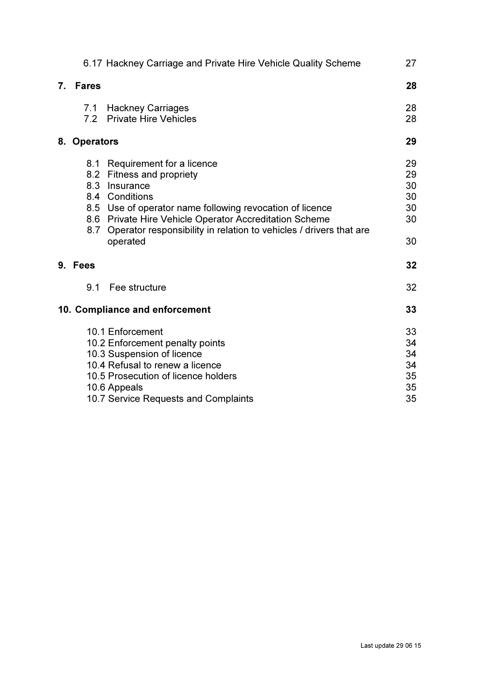|    |              | 6.17 Hackney Carriage and Private Hire Vehicle Quality Scheme                  | 27 |
|----|--------------|--------------------------------------------------------------------------------|----|
| 7. | <b>Fares</b> |                                                                                | 28 |
|    |              | 7.1 Hackney Carriages                                                          | 28 |
|    | 7.2          | <b>Private Hire Vehicles</b>                                                   | 28 |
|    | 8. Operators |                                                                                | 29 |
|    |              | 8.1 Requirement for a licence                                                  | 29 |
|    | 8.2          | Fitness and propriety                                                          | 29 |
|    | 8.3          | Insurance                                                                      | 30 |
|    |              | 8.4 Conditions                                                                 | 30 |
|    |              | 8.5 Use of operator name following revocation of licence                       | 30 |
|    | 8.6          | <b>Private Hire Vehicle Operator Accreditation Scheme</b>                      | 30 |
|    | 8.7          | Operator responsibility in relation to vehicles / drivers that are<br>operated | 30 |
|    | 9. Fees      |                                                                                | 32 |
|    | 9.1          | Fee structure                                                                  | 32 |
|    |              | 10. Compliance and enforcement                                                 | 33 |
|    |              | 10.1 Enforcement                                                               | 33 |
|    |              | 10.2 Enforcement penalty points                                                | 34 |
|    |              | 10.3 Suspension of licence                                                     | 34 |
|    |              | 10.4 Refusal to renew a licence                                                | 34 |
|    |              | 10.5 Prosecution of licence holders                                            | 35 |
|    |              | 10.6 Appeals                                                                   | 35 |
|    |              | 10.7 Service Requests and Complaints                                           | 35 |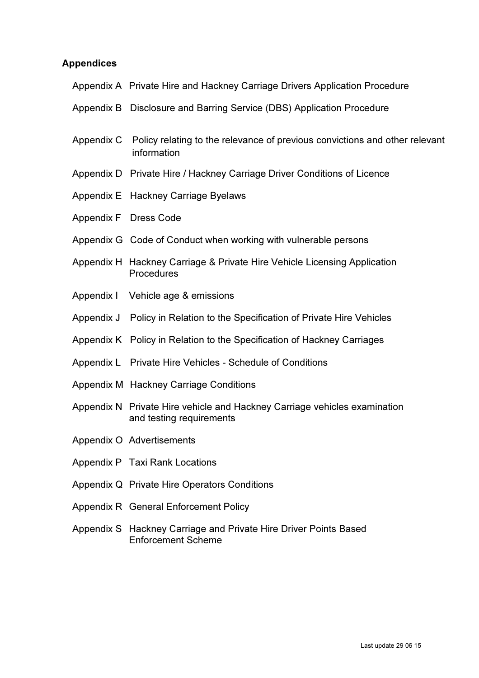# Appendices

| Appendix A Private Hire and Hackney Carriage Drivers Application Procedure                            |
|-------------------------------------------------------------------------------------------------------|
| Appendix B Disclosure and Barring Service (DBS) Application Procedure                                 |
| Appendix C Policy relating to the relevance of previous convictions and other relevant<br>information |
| Appendix D Private Hire / Hackney Carriage Driver Conditions of Licence                               |
| Appendix E Hackney Carriage Byelaws                                                                   |
| Appendix F Dress Code                                                                                 |
| Appendix G Code of Conduct when working with vulnerable persons                                       |
| Appendix H Hackney Carriage & Private Hire Vehicle Licensing Application<br>Procedures                |
| Appendix I Vehicle age & emissions                                                                    |
| Appendix J Policy in Relation to the Specification of Private Hire Vehicles                           |
| Appendix K Policy in Relation to the Specification of Hackney Carriages                               |
| Appendix L Private Hire Vehicles - Schedule of Conditions                                             |
| Appendix M Hackney Carriage Conditions                                                                |
| Appendix N Private Hire vehicle and Hackney Carriage vehicles examination<br>and testing requirements |
| Appendix O Advertisements                                                                             |
| Appendix P Taxi Rank Locations                                                                        |
| Appendix Q Private Hire Operators Conditions                                                          |
| Appendix R General Enforcement Policy                                                                 |
| Appendix S Hackney Carriage and Private Hire Driver Points Based<br><b>Enforcement Scheme</b>         |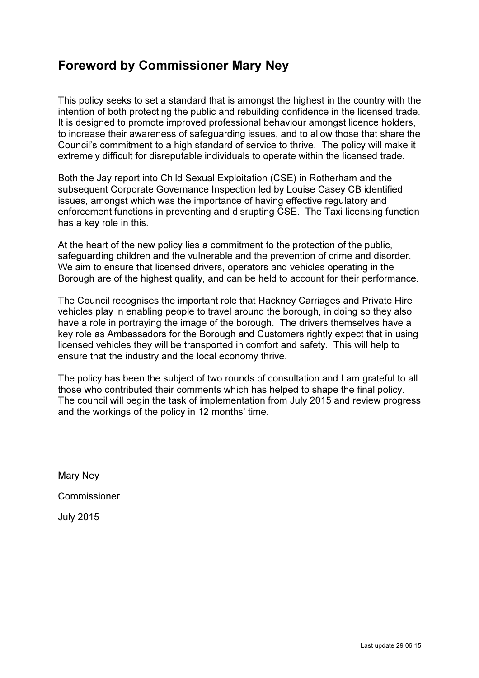# Foreword by Commissioner Mary Ney

This policy seeks to set a standard that is amongst the highest in the country with the intention of both protecting the public and rebuilding confidence in the licensed trade. It is designed to promote improved professional behaviour amongst licence holders, to increase their awareness of safeguarding issues, and to allow those that share the Council's commitment to a high standard of service to thrive. The policy will make it extremely difficult for disreputable individuals to operate within the licensed trade.

Both the Jay report into Child Sexual Exploitation (CSE) in Rotherham and the subsequent Corporate Governance Inspection led by Louise Casey CB identified issues, amongst which was the importance of having effective regulatory and enforcement functions in preventing and disrupting CSE. The Taxi licensing function has a key role in this.

At the heart of the new policy lies a commitment to the protection of the public, safeguarding children and the vulnerable and the prevention of crime and disorder. We aim to ensure that licensed drivers, operators and vehicles operating in the Borough are of the highest quality, and can be held to account for their performance.

The Council recognises the important role that Hackney Carriages and Private Hire vehicles play in enabling people to travel around the borough, in doing so they also have a role in portraying the image of the borough. The drivers themselves have a key role as Ambassadors for the Borough and Customers rightly expect that in using licensed vehicles they will be transported in comfort and safety. This will help to ensure that the industry and the local economy thrive.

The policy has been the subject of two rounds of consultation and I am grateful to all those who contributed their comments which has helped to shape the final policy. The council will begin the task of implementation from July 2015 and review progress and the workings of the policy in 12 months' time.

Mary Ney

Commissioner

July 2015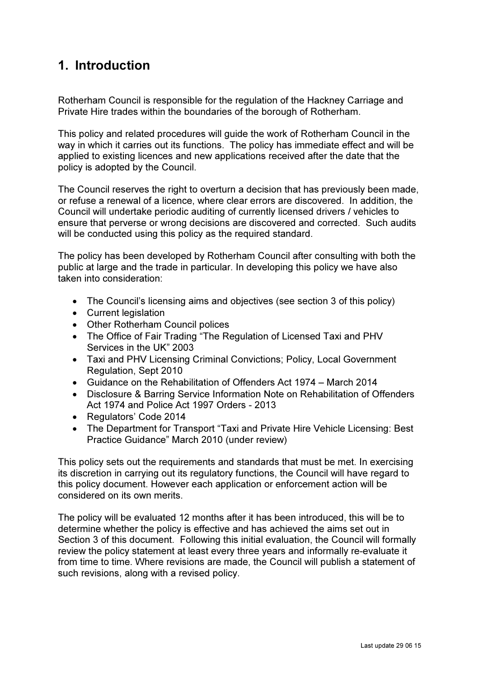# 1. Introduction

Rotherham Council is responsible for the regulation of the Hackney Carriage and Private Hire trades within the boundaries of the borough of Rotherham.

This policy and related procedures will guide the work of Rotherham Council in the way in which it carries out its functions. The policy has immediate effect and will be applied to existing licences and new applications received after the date that the policy is adopted by the Council.

The Council reserves the right to overturn a decision that has previously been made, or refuse a renewal of a licence, where clear errors are discovered. In addition, the Council will undertake periodic auditing of currently licensed drivers / vehicles to ensure that perverse or wrong decisions are discovered and corrected. Such audits will be conducted using this policy as the required standard.

The policy has been developed by Rotherham Council after consulting with both the public at large and the trade in particular. In developing this policy we have also taken into consideration:

- The Council's licensing aims and objectives (see section 3 of this policy)
- Current legislation
- Other Rotherham Council polices
- The Office of Fair Trading "The Regulation of Licensed Taxi and PHV Services in the UK" 2003
- Taxi and PHV Licensing Criminal Convictions; Policy, Local Government Regulation, Sept 2010
- Guidance on the Rehabilitation of Offenders Act 1974 March 2014
- Disclosure & Barring Service Information Note on Rehabilitation of Offenders Act 1974 and Police Act 1997 Orders - 2013
- Regulators' Code 2014
- The Department for Transport "Taxi and Private Hire Vehicle Licensing: Best Practice Guidance" March 2010 (under review)

This policy sets out the requirements and standards that must be met. In exercising its discretion in carrying out its regulatory functions, the Council will have regard to this policy document. However each application or enforcement action will be considered on its own merits.

The policy will be evaluated 12 months after it has been introduced, this will be to determine whether the policy is effective and has achieved the aims set out in Section 3 of this document. Following this initial evaluation, the Council will formally review the policy statement at least every three years and informally re-evaluate it from time to time. Where revisions are made, the Council will publish a statement of such revisions, along with a revised policy.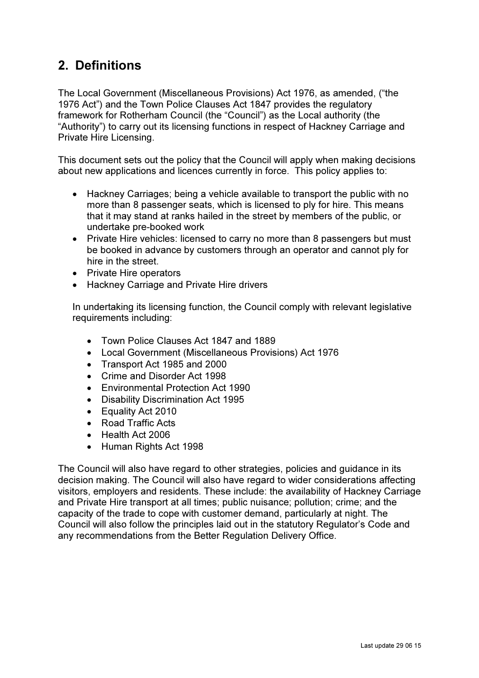# 2. Definitions

The Local Government (Miscellaneous Provisions) Act 1976, as amended, ("the 1976 Act") and the Town Police Clauses Act 1847 provides the regulatory framework for Rotherham Council (the "Council") as the Local authority (the "Authority") to carry out its licensing functions in respect of Hackney Carriage and Private Hire Licensing.

This document sets out the policy that the Council will apply when making decisions about new applications and licences currently in force. This policy applies to:

- Hackney Carriages; being a vehicle available to transport the public with no more than 8 passenger seats, which is licensed to ply for hire. This means that it may stand at ranks hailed in the street by members of the public, or undertake pre-booked work
- Private Hire vehicles: licensed to carry no more than 8 passengers but must be booked in advance by customers through an operator and cannot ply for hire in the street.
- Private Hire operators
- Hackney Carriage and Private Hire drivers

In undertaking its licensing function, the Council comply with relevant legislative requirements including:

- Town Police Clauses Act 1847 and 1889
- Local Government (Miscellaneous Provisions) Act 1976
- Transport Act 1985 and 2000
- Crime and Disorder Act 1998
- Environmental Protection Act 1990
- Disability Discrimination Act 1995
- Equality Act 2010
- Road Traffic Acts
- Health Act 2006
- Human Rights Act 1998

The Council will also have regard to other strategies, policies and guidance in its decision making. The Council will also have regard to wider considerations affecting visitors, employers and residents. These include: the availability of Hackney Carriage and Private Hire transport at all times; public nuisance; pollution; crime; and the capacity of the trade to cope with customer demand, particularly at night. The Council will also follow the principles laid out in the statutory Regulator's Code and any recommendations from the Better Regulation Delivery Office.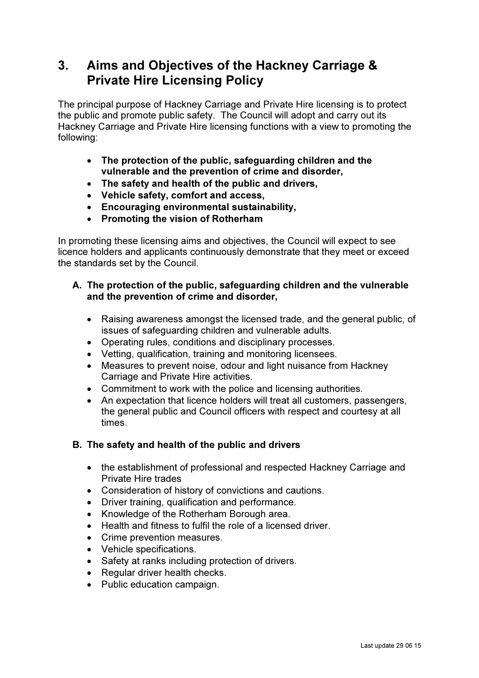# 3. Aims and Objectives of the Hackney Carriage & Private Hire Licensing Policy

The principal purpose of Hackney Carriage and Private Hire licensing is to protect the public and promote public safety. The Council will adopt and carry out its Hackney Carriage and Private Hire licensing functions with a view to promoting the following:

- The protection of the public, safeguarding children and the vulnerable and the prevention of crime and disorder,
- The safety and health of the public and drivers,
- Vehicle safety, comfort and access,
- Encouraging environmental sustainability,
- Promoting the vision of Rotherham

In promoting these licensing aims and objectives, the Council will expect to see licence holders and applicants continuously demonstrate that they meet or exceed the standards set by the Council.

### A. The protection of the public, safeguarding children and the vulnerable and the prevention of crime and disorder,

- Raising awareness amongst the licensed trade, and the general public, of issues of safeguarding children and vulnerable adults.
- Operating rules, conditions and disciplinary processes.
- Vetting, qualification, training and monitoring licensees.
- Measures to prevent noise, odour and light nuisance from Hackney Carriage and Private Hire activities.
- Commitment to work with the police and licensing authorities.
- An expectation that licence holders will treat all customers, passengers, the general public and Council officers with respect and courtesy at all times.

# B. The safety and health of the public and drivers

- the establishment of professional and respected Hackney Carriage and Private Hire trades
- Consideration of history of convictions and cautions.
- Driver training, qualification and performance.
- Knowledge of the Rotherham Borough area.
- Health and fitness to fulfil the role of a licensed driver.
- Crime prevention measures.
- Vehicle specifications.
- Safety at ranks including protection of drivers.
- Regular driver health checks.
- Public education campaign.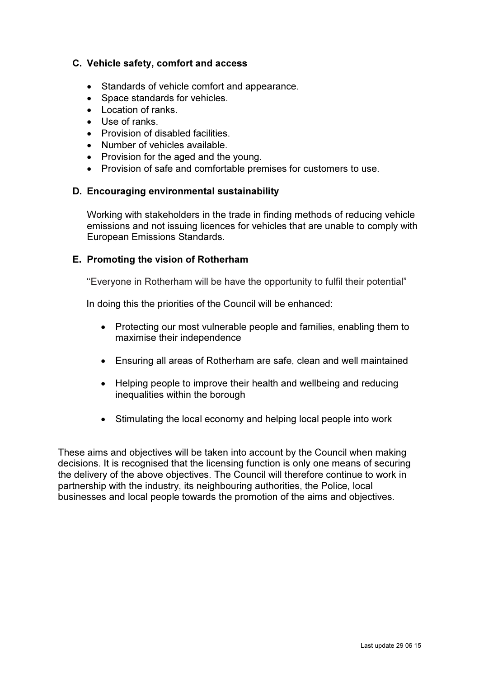### C. Vehicle safety, comfort and access

- Standards of vehicle comfort and appearance.
- Space standards for vehicles.
- Location of ranks.
- Use of ranks
- Provision of disabled facilities.
- Number of vehicles available.
- Provision for the aged and the young.
- Provision of safe and comfortable premises for customers to use.

#### D. Encouraging environmental sustainability

Working with stakeholders in the trade in finding methods of reducing vehicle emissions and not issuing licences for vehicles that are unable to comply with European Emissions Standards.

#### E. Promoting the vision of Rotherham

''Everyone in Rotherham will be have the opportunity to fulfil their potential"

In doing this the priorities of the Council will be enhanced:

- Protecting our most vulnerable people and families, enabling them to maximise their independence
- Ensuring all areas of Rotherham are safe, clean and well maintained
- Helping people to improve their health and wellbeing and reducing inequalities within the borough
- Stimulating the local economy and helping local people into work

These aims and objectives will be taken into account by the Council when making decisions. It is recognised that the licensing function is only one means of securing the delivery of the above objectives. The Council will therefore continue to work in partnership with the industry, its neighbouring authorities, the Police, local businesses and local people towards the promotion of the aims and objectives.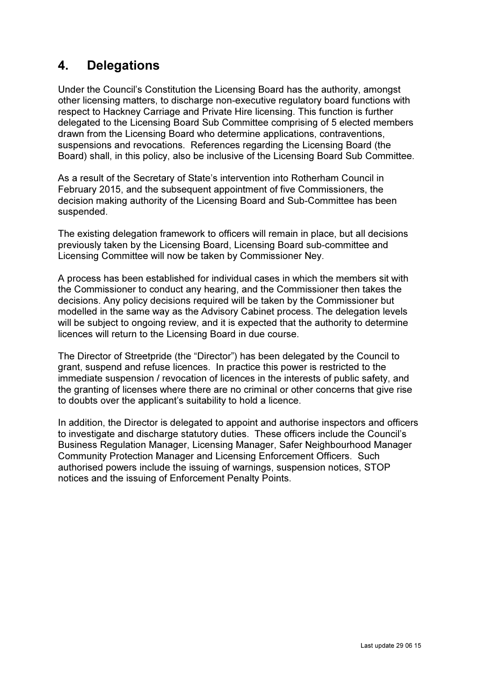# 4. Delegations

Under the Council's Constitution the Licensing Board has the authority, amongst other licensing matters, to discharge non-executive regulatory board functions with respect to Hackney Carriage and Private Hire licensing. This function is further delegated to the Licensing Board Sub Committee comprising of 5 elected members drawn from the Licensing Board who determine applications, contraventions, suspensions and revocations. References regarding the Licensing Board (the Board) shall, in this policy, also be inclusive of the Licensing Board Sub Committee.

As a result of the Secretary of State's intervention into Rotherham Council in February 2015, and the subsequent appointment of five Commissioners, the decision making authority of the Licensing Board and Sub-Committee has been suspended.

The existing delegation framework to officers will remain in place, but all decisions previously taken by the Licensing Board, Licensing Board sub-committee and Licensing Committee will now be taken by Commissioner Ney.

A process has been established for individual cases in which the members sit with the Commissioner to conduct any hearing, and the Commissioner then takes the decisions. Any policy decisions required will be taken by the Commissioner but modelled in the same way as the Advisory Cabinet process. The delegation levels will be subject to ongoing review, and it is expected that the authority to determine licences will return to the Licensing Board in due course.

The Director of Streetpride (the "Director") has been delegated by the Council to grant, suspend and refuse licences. In practice this power is restricted to the immediate suspension / revocation of licences in the interests of public safety, and the granting of licenses where there are no criminal or other concerns that give rise to doubts over the applicant's suitability to hold a licence.

In addition, the Director is delegated to appoint and authorise inspectors and officers to investigate and discharge statutory duties. These officers include the Council's Business Regulation Manager, Licensing Manager, Safer Neighbourhood Manager Community Protection Manager and Licensing Enforcement Officers. Such authorised powers include the issuing of warnings, suspension notices, STOP notices and the issuing of Enforcement Penalty Points.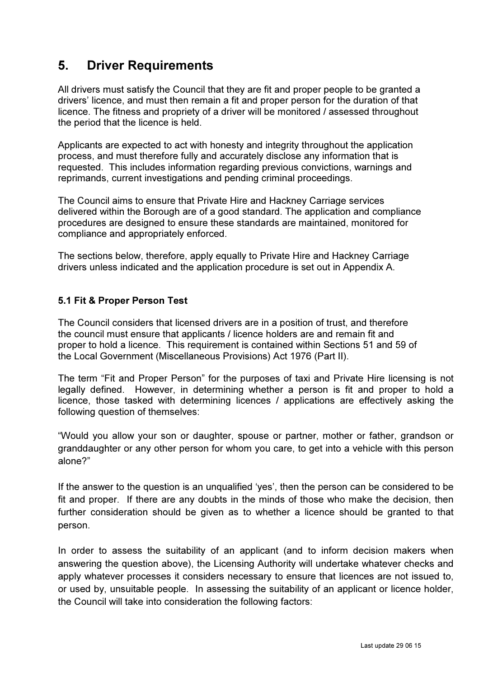# 5. Driver Requirements

All drivers must satisfy the Council that they are fit and proper people to be granted a drivers' licence, and must then remain a fit and proper person for the duration of that licence. The fitness and propriety of a driver will be monitored / assessed throughout the period that the licence is held.

Applicants are expected to act with honesty and integrity throughout the application process, and must therefore fully and accurately disclose any information that is requested. This includes information regarding previous convictions, warnings and reprimands, current investigations and pending criminal proceedings.

The Council aims to ensure that Private Hire and Hackney Carriage services delivered within the Borough are of a good standard. The application and compliance procedures are designed to ensure these standards are maintained, monitored for compliance and appropriately enforced.

The sections below, therefore, apply equally to Private Hire and Hackney Carriage drivers unless indicated and the application procedure is set out in Appendix A.

## 5.1 Fit & Proper Person Test

The Council considers that licensed drivers are in a position of trust, and therefore the council must ensure that applicants / licence holders are and remain fit and proper to hold a licence. This requirement is contained within Sections 51 and 59 of the Local Government (Miscellaneous Provisions) Act 1976 (Part II).

The term "Fit and Proper Person" for the purposes of taxi and Private Hire licensing is not legally defined. However, in determining whether a person is fit and proper to hold a licence, those tasked with determining licences / applications are effectively asking the following question of themselves:

"Would you allow your son or daughter, spouse or partner, mother or father, grandson or granddaughter or any other person for whom you care, to get into a vehicle with this person alone?"

If the answer to the question is an unqualified 'yes', then the person can be considered to be fit and proper. If there are any doubts in the minds of those who make the decision, then further consideration should be given as to whether a licence should be granted to that person.

In order to assess the suitability of an applicant (and to inform decision makers when answering the question above), the Licensing Authority will undertake whatever checks and apply whatever processes it considers necessary to ensure that licences are not issued to, or used by, unsuitable people. In assessing the suitability of an applicant or licence holder, the Council will take into consideration the following factors: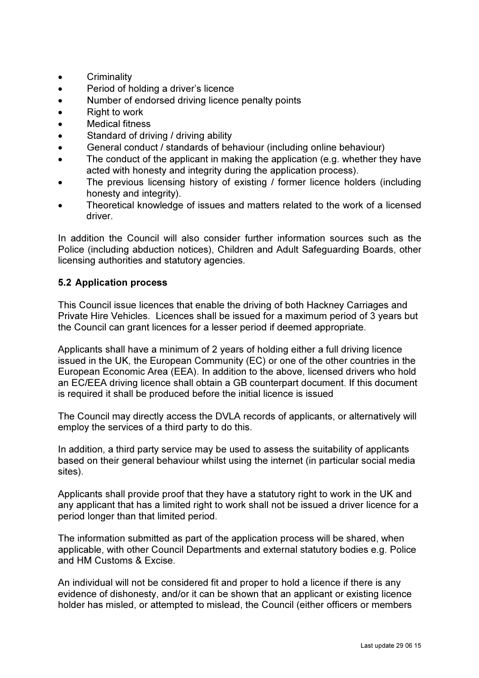- Criminality
- Period of holding a driver's licence
- Number of endorsed driving licence penalty points
- Right to work
- Medical fitness
- Standard of driving / driving ability
- General conduct / standards of behaviour (including online behaviour)
- The conduct of the applicant in making the application (e.g. whether they have acted with honesty and integrity during the application process).
- The previous licensing history of existing / former licence holders (including honesty and integrity).
- Theoretical knowledge of issues and matters related to the work of a licensed driver.

In addition the Council will also consider further information sources such as the Police (including abduction notices), Children and Adult Safeguarding Boards, other licensing authorities and statutory agencies.

## 5.2 Application process

This Council issue licences that enable the driving of both Hackney Carriages and Private Hire Vehicles. Licences shall be issued for a maximum period of 3 years but the Council can grant licences for a lesser period if deemed appropriate.

Applicants shall have a minimum of 2 years of holding either a full driving licence issued in the UK, the European Community (EC) or one of the other countries in the European Economic Area (EEA). In addition to the above, licensed drivers who hold an EC/EEA driving licence shall obtain a GB counterpart document. If this document is required it shall be produced before the initial licence is issued

The Council may directly access the DVLA records of applicants, or alternatively will employ the services of a third party to do this.

In addition, a third party service may be used to assess the suitability of applicants based on their general behaviour whilst using the internet (in particular social media sites).

Applicants shall provide proof that they have a statutory right to work in the UK and any applicant that has a limited right to work shall not be issued a driver licence for a period longer than that limited period.

The information submitted as part of the application process will be shared, when applicable, with other Council Departments and external statutory bodies e.g. Police and HM Customs & Excise.

An individual will not be considered fit and proper to hold a licence if there is any evidence of dishonesty, and/or it can be shown that an applicant or existing licence holder has misled, or attempted to mislead, the Council (either officers or members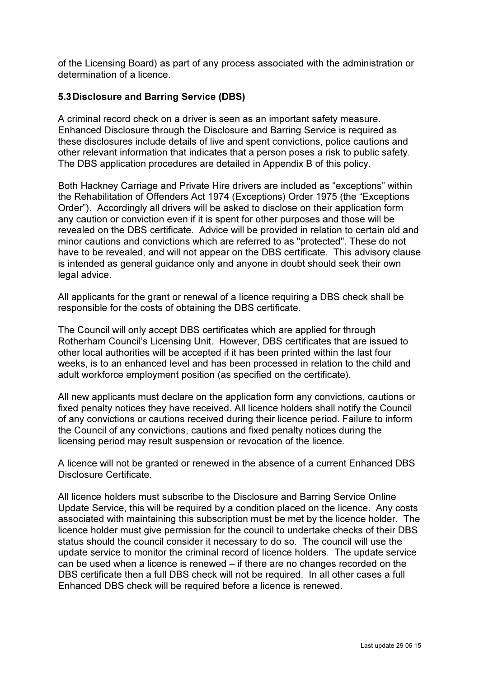of the Licensing Board) as part of any process associated with the administration or determination of a licence.

## 5.3 Disclosure and Barring Service (DBS)

A criminal record check on a driver is seen as an important safety measure. Enhanced Disclosure through the Disclosure and Barring Service is required as these disclosures include details of live and spent convictions, police cautions and other relevant information that indicates that a person poses a risk to public safety. The DBS application procedures are detailed in Appendix B of this policy.

Both Hackney Carriage and Private Hire drivers are included as "exceptions" within the Rehabilitation of Offenders Act 1974 (Exceptions) Order 1975 (the "Exceptions Order"). Accordingly all drivers will be asked to disclose on their application form any caution or conviction even if it is spent for other purposes and those will be revealed on the DBS certificate. Advice will be provided in relation to certain old and minor cautions and convictions which are referred to as "protected". These do not have to be revealed, and will not appear on the DBS certificate. This advisory clause is intended as general guidance only and anyone in doubt should seek their own legal advice.

All applicants for the grant or renewal of a licence requiring a DBS check shall be responsible for the costs of obtaining the DBS certificate.

The Council will only accept DBS certificates which are applied for through Rotherham Council's Licensing Unit. However, DBS certificates that are issued to other local authorities will be accepted if it has been printed within the last four weeks, is to an enhanced level and has been processed in relation to the child and adult workforce employment position (as specified on the certificate).

All new applicants must declare on the application form any convictions, cautions or fixed penalty notices they have received. All licence holders shall notify the Council of any convictions or cautions received during their licence period. Failure to inform the Council of any convictions, cautions and fixed penalty notices during the licensing period may result suspension or revocation of the licence.

A licence will not be granted or renewed in the absence of a current Enhanced DBS Disclosure Certificate.

All licence holders must subscribe to the Disclosure and Barring Service Online Update Service, this will be required by a condition placed on the licence. Any costs associated with maintaining this subscription must be met by the licence holder. The licence holder must give permission for the council to undertake checks of their DBS status should the council consider it necessary to do so. The council will use the update service to monitor the criminal record of licence holders. The update service can be used when a licence is renewed – if there are no changes recorded on the DBS certificate then a full DBS check will not be required. In all other cases a full Enhanced DBS check will be required before a licence is renewed.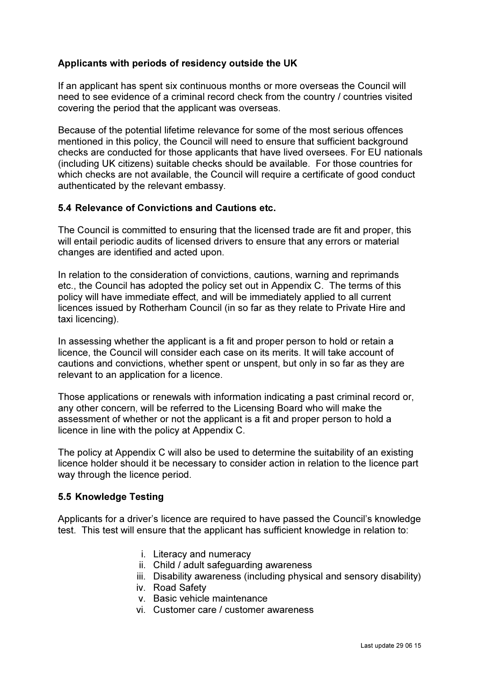## Applicants with periods of residency outside the UK

If an applicant has spent six continuous months or more overseas the Council will need to see evidence of a criminal record check from the country / countries visited covering the period that the applicant was overseas.

Because of the potential lifetime relevance for some of the most serious offences mentioned in this policy, the Council will need to ensure that sufficient background checks are conducted for those applicants that have lived oversees. For EU nationals (including UK citizens) suitable checks should be available. For those countries for which checks are not available, the Council will require a certificate of good conduct authenticated by the relevant embassy.

### 5.4 Relevance of Convictions and Cautions etc.

The Council is committed to ensuring that the licensed trade are fit and proper, this will entail periodic audits of licensed drivers to ensure that any errors or material changes are identified and acted upon.

In relation to the consideration of convictions, cautions, warning and reprimands etc., the Council has adopted the policy set out in Appendix C. The terms of this policy will have immediate effect, and will be immediately applied to all current licences issued by Rotherham Council (in so far as they relate to Private Hire and taxi licencing).

In assessing whether the applicant is a fit and proper person to hold or retain a licence, the Council will consider each case on its merits. It will take account of cautions and convictions, whether spent or unspent, but only in so far as they are relevant to an application for a licence.

Those applications or renewals with information indicating a past criminal record or, any other concern, will be referred to the Licensing Board who will make the assessment of whether or not the applicant is a fit and proper person to hold a licence in line with the policy at Appendix C.

The policy at Appendix C will also be used to determine the suitability of an existing licence holder should it be necessary to consider action in relation to the licence part way through the licence period.

### 5.5 Knowledge Testing

Applicants for a driver's licence are required to have passed the Council's knowledge test. This test will ensure that the applicant has sufficient knowledge in relation to:

- i. Literacy and numeracy
- ii. Child / adult safeguarding awareness
- iii. Disability awareness (including physical and sensory disability)
- iv. Road Safety
- v. Basic vehicle maintenance
- vi. Customer care / customer awareness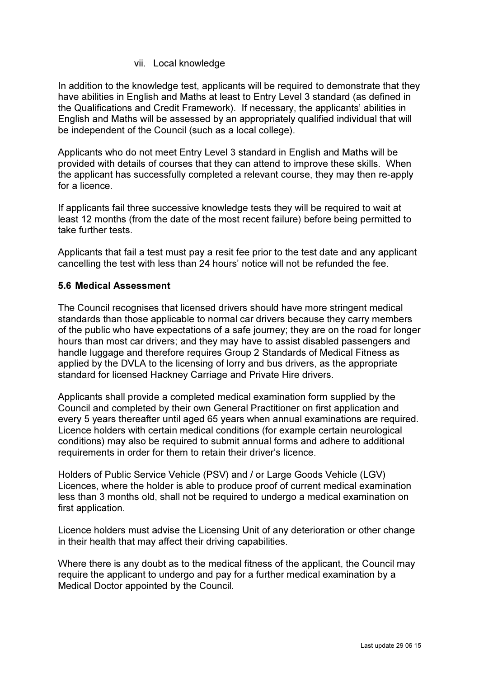#### vii. Local knowledge

In addition to the knowledge test, applicants will be required to demonstrate that they have abilities in English and Maths at least to Entry Level 3 standard (as defined in the Qualifications and Credit Framework). If necessary, the applicants' abilities in English and Maths will be assessed by an appropriately qualified individual that will be independent of the Council (such as a local college).

Applicants who do not meet Entry Level 3 standard in English and Maths will be provided with details of courses that they can attend to improve these skills. When the applicant has successfully completed a relevant course, they may then re-apply for a licence.

If applicants fail three successive knowledge tests they will be required to wait at least 12 months (from the date of the most recent failure) before being permitted to take further tests.

Applicants that fail a test must pay a resit fee prior to the test date and any applicant cancelling the test with less than 24 hours' notice will not be refunded the fee.

### 5.6 Medical Assessment

The Council recognises that licensed drivers should have more stringent medical standards than those applicable to normal car drivers because they carry members of the public who have expectations of a safe journey; they are on the road for longer hours than most car drivers; and they may have to assist disabled passengers and handle luggage and therefore requires Group 2 Standards of Medical Fitness as applied by the DVLA to the licensing of lorry and bus drivers, as the appropriate standard for licensed Hackney Carriage and Private Hire drivers.

Applicants shall provide a completed medical examination form supplied by the Council and completed by their own General Practitioner on first application and every 5 years thereafter until aged 65 years when annual examinations are required. Licence holders with certain medical conditions (for example certain neurological conditions) may also be required to submit annual forms and adhere to additional requirements in order for them to retain their driver's licence.

Holders of Public Service Vehicle (PSV) and / or Large Goods Vehicle (LGV) Licences, where the holder is able to produce proof of current medical examination less than 3 months old, shall not be required to undergo a medical examination on first application.

Licence holders must advise the Licensing Unit of any deterioration or other change in their health that may affect their driving capabilities.

Where there is any doubt as to the medical fitness of the applicant, the Council may require the applicant to undergo and pay for a further medical examination by a Medical Doctor appointed by the Council.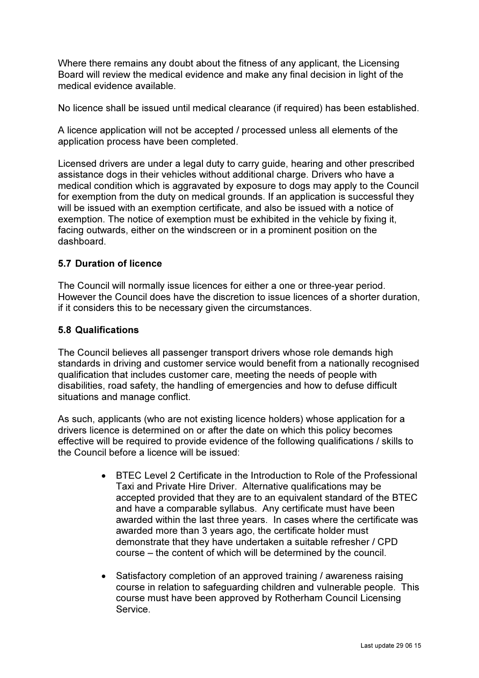Where there remains any doubt about the fitness of any applicant, the Licensing Board will review the medical evidence and make any final decision in light of the medical evidence available.

No licence shall be issued until medical clearance (if required) has been established.

A licence application will not be accepted / processed unless all elements of the application process have been completed.

Licensed drivers are under a legal duty to carry guide, hearing and other prescribed assistance dogs in their vehicles without additional charge. Drivers who have a medical condition which is aggravated by exposure to dogs may apply to the Council for exemption from the duty on medical grounds. If an application is successful they will be issued with an exemption certificate, and also be issued with a notice of exemption. The notice of exemption must be exhibited in the vehicle by fixing it, facing outwards, either on the windscreen or in a prominent position on the dashboard.

### 5.7 Duration of licence

The Council will normally issue licences for either a one or three-year period. However the Council does have the discretion to issue licences of a shorter duration, if it considers this to be necessary given the circumstances.

#### 5.8 Qualifications

The Council believes all passenger transport drivers whose role demands high standards in driving and customer service would benefit from a nationally recognised qualification that includes customer care, meeting the needs of people with disabilities, road safety, the handling of emergencies and how to defuse difficult situations and manage conflict.

As such, applicants (who are not existing licence holders) whose application for a drivers licence is determined on or after the date on which this policy becomes effective will be required to provide evidence of the following qualifications / skills to the Council before a licence will be issued:

- BTEC Level 2 Certificate in the Introduction to Role of the Professional Taxi and Private Hire Driver. Alternative qualifications may be accepted provided that they are to an equivalent standard of the BTEC and have a comparable syllabus. Any certificate must have been awarded within the last three years. In cases where the certificate was awarded more than 3 years ago, the certificate holder must demonstrate that they have undertaken a suitable refresher / CPD course – the content of which will be determined by the council.
- Satisfactory completion of an approved training / awareness raising course in relation to safeguarding children and vulnerable people. This course must have been approved by Rotherham Council Licensing Service.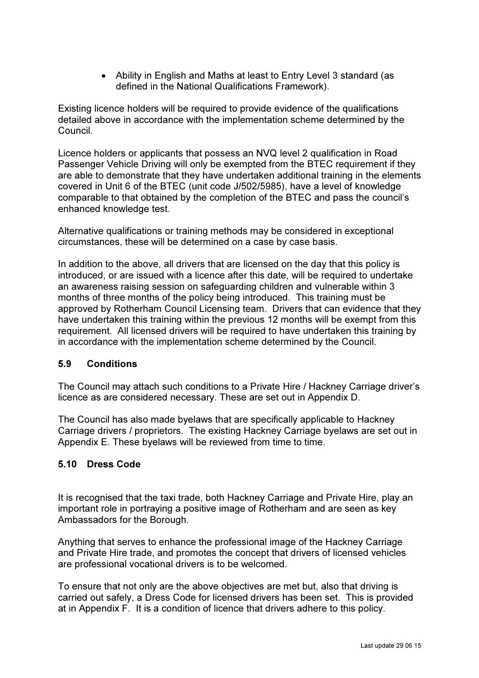• Ability in English and Maths at least to Entry Level 3 standard (as defined in the National Qualifications Framework).

Existing licence holders will be required to provide evidence of the qualifications detailed above in accordance with the implementation scheme determined by the Council.

Licence holders or applicants that possess an NVQ level 2 qualification in Road Passenger Vehicle Driving will only be exempted from the BTEC requirement if they are able to demonstrate that they have undertaken additional training in the elements covered in Unit 6 of the BTEC (unit code J/502/5985), have a level of knowledge comparable to that obtained by the completion of the BTEC and pass the council's enhanced knowledge test.

Alternative qualifications or training methods may be considered in exceptional circumstances, these will be determined on a case by case basis.

In addition to the above, all drivers that are licensed on the day that this policy is introduced, or are issued with a licence after this date, will be required to undertake an awareness raising session on safeguarding children and vulnerable within 3 months of three months of the policy being introduced. This training must be approved by Rotherham Council Licensing team. Drivers that can evidence that they have undertaken this training within the previous 12 months will be exempt from this requirement. All licensed drivers will be required to have undertaken this training by in accordance with the implementation scheme determined by the Council.

### 5.9 Conditions

The Council may attach such conditions to a Private Hire / Hackney Carriage driver's licence as are considered necessary. These are set out in Appendix D.

The Council has also made byelaws that are specifically applicable to Hackney Carriage drivers / proprietors. The existing Hackney Carriage byelaws are set out in Appendix E. These byelaws will be reviewed from time to time.

### 5.10 Dress Code

It is recognised that the taxi trade, both Hackney Carriage and Private Hire, play an important role in portraying a positive image of Rotherham and are seen as key Ambassadors for the Borough.

Anything that serves to enhance the professional image of the Hackney Carriage and Private Hire trade, and promotes the concept that drivers of licensed vehicles are professional vocational drivers is to be welcomed.

To ensure that not only are the above objectives are met but, also that driving is carried out safely, a Dress Code for licensed drivers has been set. This is provided at in Appendix F. It is a condition of licence that drivers adhere to this policy.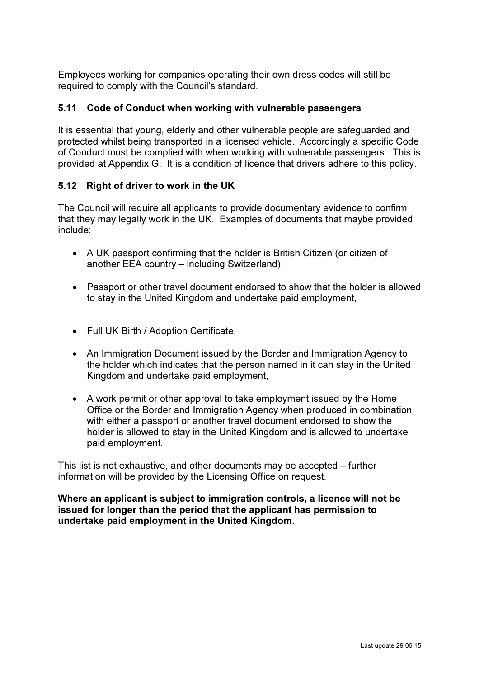Employees working for companies operating their own dress codes will still be required to comply with the Council's standard.

### 5.11 Code of Conduct when working with vulnerable passengers

It is essential that young, elderly and other vulnerable people are safeguarded and protected whilst being transported in a licensed vehicle. Accordingly a specific Code of Conduct must be complied with when working with vulnerable passengers. This is provided at Appendix G. It is a condition of licence that drivers adhere to this policy.

## 5.12 Right of driver to work in the UK

The Council will require all applicants to provide documentary evidence to confirm that they may legally work in the UK. Examples of documents that maybe provided include:

- A UK passport confirming that the holder is British Citizen (or citizen of another EEA country – including Switzerland),
- Passport or other travel document endorsed to show that the holder is allowed to stay in the United Kingdom and undertake paid employment,
- Full UK Birth / Adoption Certificate,
- An Immigration Document issued by the Border and Immigration Agency to the holder which indicates that the person named in it can stay in the United Kingdom and undertake paid employment,
- A work permit or other approval to take employment issued by the Home Office or the Border and Immigration Agency when produced in combination with either a passport or another travel document endorsed to show the holder is allowed to stay in the United Kingdom and is allowed to undertake paid employment.

This list is not exhaustive, and other documents may be accepted – further information will be provided by the Licensing Office on request.

Where an applicant is subject to immigration controls, a licence will not be issued for longer than the period that the applicant has permission to undertake paid employment in the United Kingdom.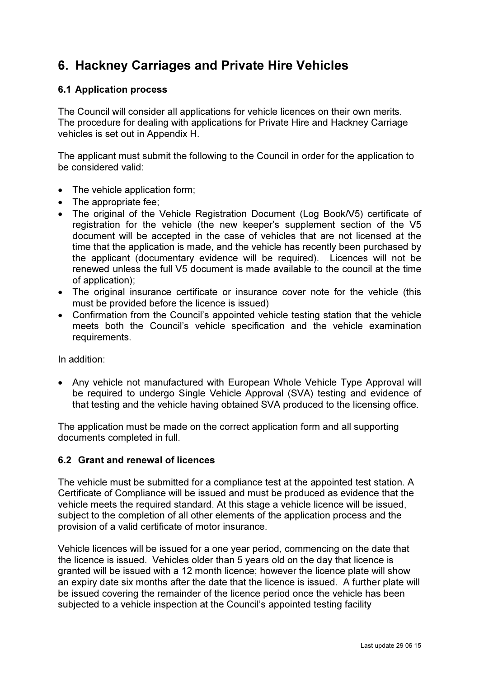# 6. Hackney Carriages and Private Hire Vehicles

### 6.1 Application process

The Council will consider all applications for vehicle licences on their own merits. The procedure for dealing with applications for Private Hire and Hackney Carriage vehicles is set out in Appendix H.

The applicant must submit the following to the Council in order for the application to be considered valid:

- The vehicle application form:
- The appropriate fee:
- The original of the Vehicle Registration Document (Log Book/V5) certificate of registration for the vehicle (the new keeper's supplement section of the V5 document will be accepted in the case of vehicles that are not licensed at the time that the application is made, and the vehicle has recently been purchased by the applicant (documentary evidence will be required). Licences will not be renewed unless the full V5 document is made available to the council at the time of application);
- The original insurance certificate or insurance cover note for the vehicle (this must be provided before the licence is issued)
- Confirmation from the Council's appointed vehicle testing station that the vehicle meets both the Council's vehicle specification and the vehicle examination requirements.

In addition:

• Any vehicle not manufactured with European Whole Vehicle Type Approval will be required to undergo Single Vehicle Approval (SVA) testing and evidence of that testing and the vehicle having obtained SVA produced to the licensing office.

The application must be made on the correct application form and all supporting documents completed in full.

### 6.2 Grant and renewal of licences

The vehicle must be submitted for a compliance test at the appointed test station. A Certificate of Compliance will be issued and must be produced as evidence that the vehicle meets the required standard. At this stage a vehicle licence will be issued, subject to the completion of all other elements of the application process and the provision of a valid certificate of motor insurance.

Vehicle licences will be issued for a one year period, commencing on the date that the licence is issued. Vehicles older than 5 years old on the day that licence is granted will be issued with a 12 month licence; however the licence plate will show an expiry date six months after the date that the licence is issued. A further plate will be issued covering the remainder of the licence period once the vehicle has been subjected to a vehicle inspection at the Council's appointed testing facility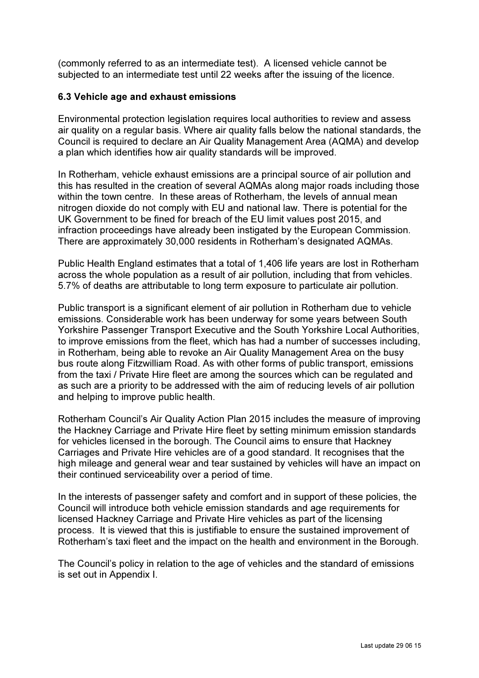(commonly referred to as an intermediate test). A licensed vehicle cannot be subjected to an intermediate test until 22 weeks after the issuing of the licence.

### 6.3 Vehicle age and exhaust emissions

Environmental protection legislation requires local authorities to review and assess air quality on a regular basis. Where air quality falls below the national standards, the Council is required to declare an Air Quality Management Area (AQMA) and develop a plan which identifies how air quality standards will be improved.

In Rotherham, vehicle exhaust emissions are a principal source of air pollution and this has resulted in the creation of several AQMAs along major roads including those within the town centre. In these areas of Rotherham, the levels of annual mean nitrogen dioxide do not comply with EU and national law. There is potential for the UK Government to be fined for breach of the EU limit values post 2015, and infraction proceedings have already been instigated by the European Commission. There are approximately 30,000 residents in Rotherham's designated AQMAs.

Public Health England estimates that a total of 1,406 life years are lost in Rotherham across the whole population as a result of air pollution, including that from vehicles. 5.7% of deaths are attributable to long term exposure to particulate air pollution.

Public transport is a significant element of air pollution in Rotherham due to vehicle emissions. Considerable work has been underway for some years between South Yorkshire Passenger Transport Executive and the South Yorkshire Local Authorities, to improve emissions from the fleet, which has had a number of successes including, in Rotherham, being able to revoke an Air Quality Management Area on the busy bus route along Fitzwilliam Road. As with other forms of public transport, emissions from the taxi / Private Hire fleet are among the sources which can be regulated and as such are a priority to be addressed with the aim of reducing levels of air pollution and helping to improve public health.

Rotherham Council's Air Quality Action Plan 2015 includes the measure of improving the Hackney Carriage and Private Hire fleet by setting minimum emission standards for vehicles licensed in the borough. The Council aims to ensure that Hackney Carriages and Private Hire vehicles are of a good standard. It recognises that the high mileage and general wear and tear sustained by vehicles will have an impact on their continued serviceability over a period of time.

In the interests of passenger safety and comfort and in support of these policies, the Council will introduce both vehicle emission standards and age requirements for licensed Hackney Carriage and Private Hire vehicles as part of the licensing process. It is viewed that this is justifiable to ensure the sustained improvement of Rotherham's taxi fleet and the impact on the health and environment in the Borough.

The Council's policy in relation to the age of vehicles and the standard of emissions is set out in Appendix I.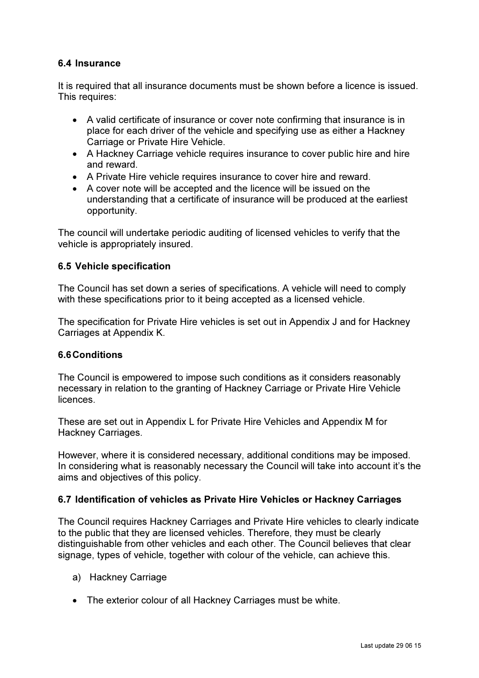### 6.4 Insurance

It is required that all insurance documents must be shown before a licence is issued. This requires:

- A valid certificate of insurance or cover note confirming that insurance is in place for each driver of the vehicle and specifying use as either a Hackney Carriage or Private Hire Vehicle.
- A Hackney Carriage vehicle requires insurance to cover public hire and hire and reward.
- A Private Hire vehicle requires insurance to cover hire and reward.
- A cover note will be accepted and the licence will be issued on the understanding that a certificate of insurance will be produced at the earliest opportunity.

The council will undertake periodic auditing of licensed vehicles to verify that the vehicle is appropriately insured.

### 6.5 Vehicle specification

The Council has set down a series of specifications. A vehicle will need to comply with these specifications prior to it being accepted as a licensed vehicle.

The specification for Private Hire vehicles is set out in Appendix J and for Hackney Carriages at Appendix K.

#### 6.6 Conditions

The Council is empowered to impose such conditions as it considers reasonably necessary in relation to the granting of Hackney Carriage or Private Hire Vehicle licences.

These are set out in Appendix L for Private Hire Vehicles and Appendix M for Hackney Carriages.

However, where it is considered necessary, additional conditions may be imposed. In considering what is reasonably necessary the Council will take into account it's the aims and objectives of this policy.

### 6.7 Identification of vehicles as Private Hire Vehicles or Hackney Carriages

The Council requires Hackney Carriages and Private Hire vehicles to clearly indicate to the public that they are licensed vehicles. Therefore, they must be clearly distinguishable from other vehicles and each other. The Council believes that clear signage, types of vehicle, together with colour of the vehicle, can achieve this.

- a) Hackney Carriage
- The exterior colour of all Hackney Carriages must be white.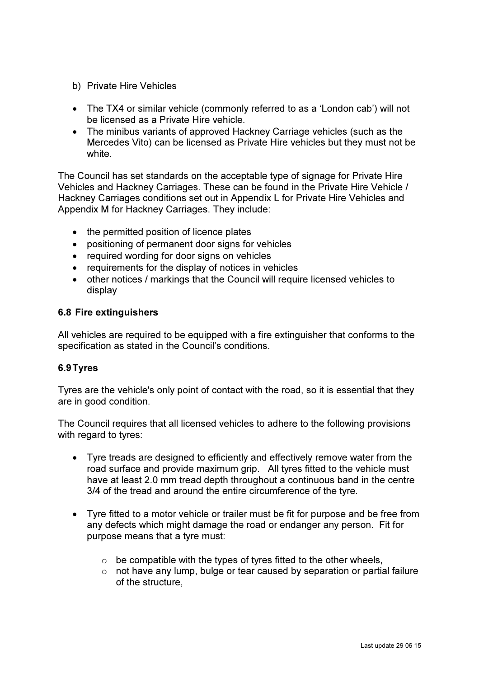- b) Private Hire Vehicles
- The TX4 or similar vehicle (commonly referred to as a 'London cab') will not be licensed as a Private Hire vehicle.
- The minibus variants of approved Hackney Carriage vehicles (such as the Mercedes Vito) can be licensed as Private Hire vehicles but they must not be white.

The Council has set standards on the acceptable type of signage for Private Hire Vehicles and Hackney Carriages. These can be found in the Private Hire Vehicle / Hackney Carriages conditions set out in Appendix L for Private Hire Vehicles and Appendix M for Hackney Carriages. They include:

- the permitted position of licence plates
- positioning of permanent door signs for vehicles
- required wording for door signs on vehicles
- requirements for the display of notices in vehicles
- other notices / markings that the Council will require licensed vehicles to display

### 6.8 Fire extinguishers

All vehicles are required to be equipped with a fire extinguisher that conforms to the specification as stated in the Council's conditions.

### 6.9 Tyres

Tyres are the vehicle's only point of contact with the road, so it is essential that they are in good condition.

The Council requires that all licensed vehicles to adhere to the following provisions with regard to tyres:

- Tyre treads are designed to efficiently and effectively remove water from the road surface and provide maximum grip. All tyres fitted to the vehicle must have at least 2.0 mm tread depth throughout a continuous band in the centre 3/4 of the tread and around the entire circumference of the tyre.
- Tyre fitted to a motor vehicle or trailer must be fit for purpose and be free from any defects which might damage the road or endanger any person. Fit for purpose means that a tyre must:
	- $\circ$  be compatible with the types of tyres fitted to the other wheels.
	- $\circ$  not have any lump, bulge or tear caused by separation or partial failure of the structure,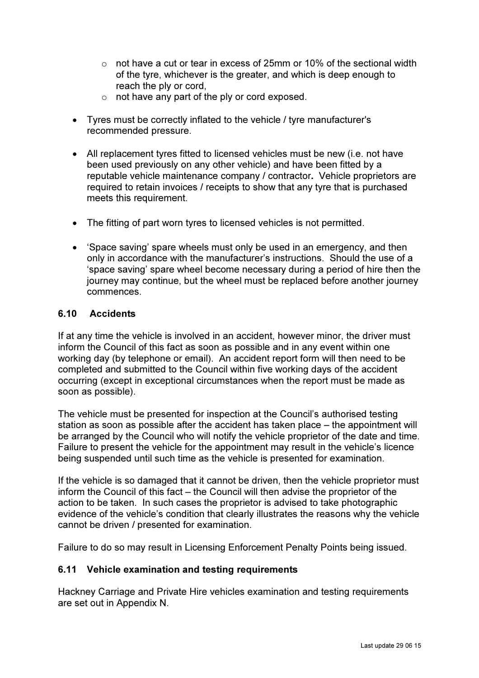- $\circ$  not have a cut or tear in excess of 25mm or 10% of the sectional width of the tyre, whichever is the greater, and which is deep enough to reach the ply or cord,
- $\circ$  not have any part of the ply or cord exposed.
- Tyres must be correctly inflated to the vehicle / tyre manufacturer's recommended pressure.
- All replacement tyres fitted to licensed vehicles must be new (i.e. not have been used previously on any other vehicle) and have been fitted by a reputable vehicle maintenance company / contractor. Vehicle proprietors are required to retain invoices / receipts to show that any tyre that is purchased meets this requirement.
- The fitting of part worn tyres to licensed vehicles is not permitted.
- 'Space saving' spare wheels must only be used in an emergency, and then only in accordance with the manufacturer's instructions. Should the use of a 'space saving' spare wheel become necessary during a period of hire then the journey may continue, but the wheel must be replaced before another journey commences.

## 6.10 Accidents

If at any time the vehicle is involved in an accident, however minor, the driver must inform the Council of this fact as soon as possible and in any event within one working day (by telephone or email). An accident report form will then need to be completed and submitted to the Council within five working days of the accident occurring (except in exceptional circumstances when the report must be made as soon as possible).

The vehicle must be presented for inspection at the Council's authorised testing station as soon as possible after the accident has taken place – the appointment will be arranged by the Council who will notify the vehicle proprietor of the date and time. Failure to present the vehicle for the appointment may result in the vehicle's licence being suspended until such time as the vehicle is presented for examination.

If the vehicle is so damaged that it cannot be driven, then the vehicle proprietor must inform the Council of this fact – the Council will then advise the proprietor of the action to be taken. In such cases the proprietor is advised to take photographic evidence of the vehicle's condition that clearly illustrates the reasons why the vehicle cannot be driven / presented for examination.

Failure to do so may result in Licensing Enforcement Penalty Points being issued.

### 6.11 Vehicle examination and testing requirements

Hackney Carriage and Private Hire vehicles examination and testing requirements are set out in Appendix N.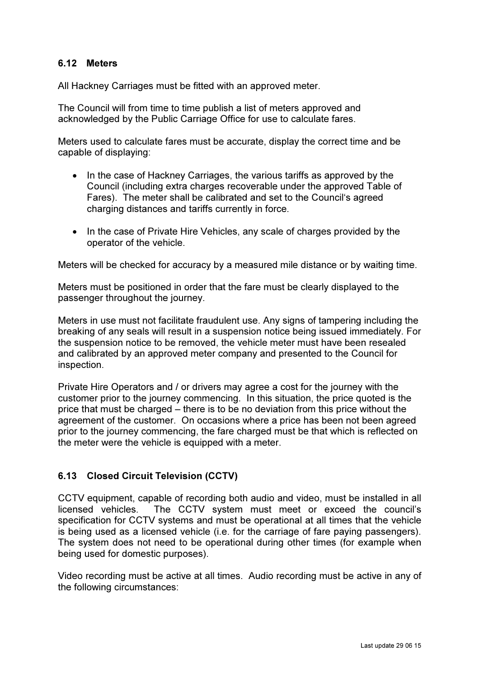### 6.12 Meters

All Hackney Carriages must be fitted with an approved meter.

The Council will from time to time publish a list of meters approved and acknowledged by the Public Carriage Office for use to calculate fares.

Meters used to calculate fares must be accurate, display the correct time and be capable of displaying:

- In the case of Hackney Carriages, the various tariffs as approved by the Council (including extra charges recoverable under the approved Table of Fares). The meter shall be calibrated and set to the Council's agreed charging distances and tariffs currently in force.
- In the case of Private Hire Vehicles, any scale of charges provided by the operator of the vehicle.

Meters will be checked for accuracy by a measured mile distance or by waiting time.

Meters must be positioned in order that the fare must be clearly displayed to the passenger throughout the journey.

Meters in use must not facilitate fraudulent use. Any signs of tampering including the breaking of any seals will result in a suspension notice being issued immediately. For the suspension notice to be removed, the vehicle meter must have been resealed and calibrated by an approved meter company and presented to the Council for inspection.

Private Hire Operators and / or drivers may agree a cost for the journey with the customer prior to the journey commencing. In this situation, the price quoted is the price that must be charged – there is to be no deviation from this price without the agreement of the customer. On occasions where a price has been not been agreed prior to the journey commencing, the fare charged must be that which is reflected on the meter were the vehicle is equipped with a meter.

# 6.13 Closed Circuit Television (CCTV)

CCTV equipment, capable of recording both audio and video, must be installed in all licensed vehicles. The CCTV system must meet or exceed the council's specification for CCTV systems and must be operational at all times that the vehicle is being used as a licensed vehicle (i.e. for the carriage of fare paying passengers). The system does not need to be operational during other times (for example when being used for domestic purposes).

Video recording must be active at all times. Audio recording must be active in any of the following circumstances: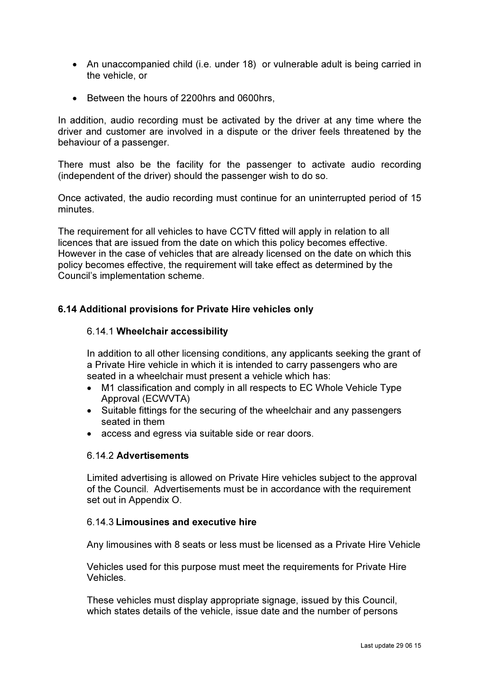- An unaccompanied child (i.e. under 18) or vulnerable adult is being carried in the vehicle, or
- Between the hours of 2200hrs and 0600hrs,

In addition, audio recording must be activated by the driver at any time where the driver and customer are involved in a dispute or the driver feels threatened by the behaviour of a passenger.

There must also be the facility for the passenger to activate audio recording (independent of the driver) should the passenger wish to do so.

Once activated, the audio recording must continue for an uninterrupted period of 15 minutes.

The requirement for all vehicles to have CCTV fitted will apply in relation to all licences that are issued from the date on which this policy becomes effective. However in the case of vehicles that are already licensed on the date on which this policy becomes effective, the requirement will take effect as determined by the Council's implementation scheme.

## 6.14 Additional provisions for Private Hire vehicles only

#### 6.14.1 Wheelchair accessibility

In addition to all other licensing conditions, any applicants seeking the grant of a Private Hire vehicle in which it is intended to carry passengers who are seated in a wheelchair must present a vehicle which has:

- M1 classification and comply in all respects to EC Whole Vehicle Type Approval (ECWVTA)
- Suitable fittings for the securing of the wheelchair and any passengers seated in them
- access and egress via suitable side or rear doors.

### 6.14.2 Advertisements

Limited advertising is allowed on Private Hire vehicles subject to the approval of the Council. Advertisements must be in accordance with the requirement set out in Appendix O.

### 6.14.3 Limousines and executive hire

Any limousines with 8 seats or less must be licensed as a Private Hire Vehicle

Vehicles used for this purpose must meet the requirements for Private Hire Vehicles.

These vehicles must display appropriate signage, issued by this Council, which states details of the vehicle, issue date and the number of persons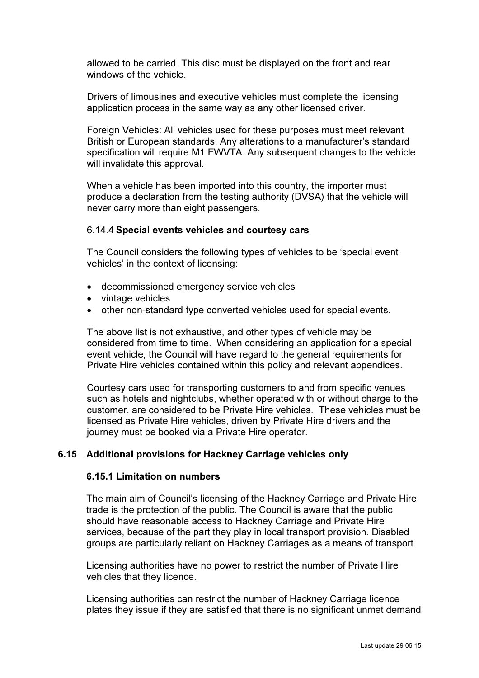allowed to be carried. This disc must be displayed on the front and rear windows of the vehicle.

Drivers of limousines and executive vehicles must complete the licensing application process in the same way as any other licensed driver.

Foreign Vehicles: All vehicles used for these purposes must meet relevant British or European standards. Any alterations to a manufacturer's standard specification will require M1 EWVTA. Any subsequent changes to the vehicle will invalidate this approval.

When a vehicle has been imported into this country, the importer must produce a declaration from the testing authority (DVSA) that the vehicle will never carry more than eight passengers.

#### 6.14.4 Special events vehicles and courtesy cars

The Council considers the following types of vehicles to be 'special event vehicles' in the context of licensing:

- decommissioned emergency service vehicles
- vintage vehicles
- other non-standard type converted vehicles used for special events.

The above list is not exhaustive, and other types of vehicle may be considered from time to time. When considering an application for a special event vehicle, the Council will have regard to the general requirements for Private Hire vehicles contained within this policy and relevant appendices.

Courtesy cars used for transporting customers to and from specific venues such as hotels and nightclubs, whether operated with or without charge to the customer, are considered to be Private Hire vehicles. These vehicles must be licensed as Private Hire vehicles, driven by Private Hire drivers and the journey must be booked via a Private Hire operator.

### 6.15 Additional provisions for Hackney Carriage vehicles only

#### 6.15.1 Limitation on numbers

The main aim of Council's licensing of the Hackney Carriage and Private Hire trade is the protection of the public. The Council is aware that the public should have reasonable access to Hackney Carriage and Private Hire services, because of the part they play in local transport provision. Disabled groups are particularly reliant on Hackney Carriages as a means of transport.

Licensing authorities have no power to restrict the number of Private Hire vehicles that they licence.

Licensing authorities can restrict the number of Hackney Carriage licence plates they issue if they are satisfied that there is no significant unmet demand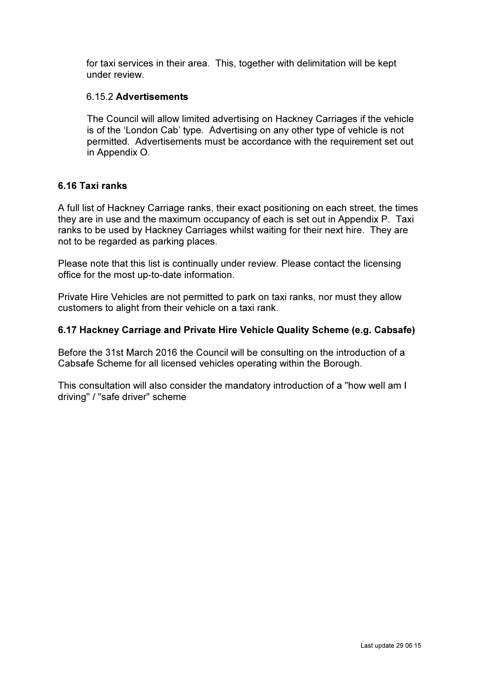for taxi services in their area. This, together with delimitation will be kept under review.

#### 6.15.2 Advertisements

The Council will allow limited advertising on Hackney Carriages if the vehicle is of the 'London Cab' type. Advertising on any other type of vehicle is not permitted. Advertisements must be accordance with the requirement set out in Appendix O.

#### 6.16 Taxi ranks

A full list of Hackney Carriage ranks, their exact positioning on each street, the times they are in use and the maximum occupancy of each is set out in Appendix P. Taxi ranks to be used by Hackney Carriages whilst waiting for their next hire. They are not to be regarded as parking places.

Please note that this list is continually under review. Please contact the licensing office for the most up-to-date information.

Private Hire Vehicles are not permitted to park on taxi ranks, nor must they allow customers to alight from their vehicle on a taxi rank.

### 6.17 Hackney Carriage and Private Hire Vehicle Quality Scheme (e.g. Cabsafe)

Before the 31st March 2016 the Council will be consulting on the introduction of a Cabsafe Scheme for all licensed vehicles operating within the Borough.

This consultation will also consider the mandatory introduction of a "how well am I driving" / "safe driver" scheme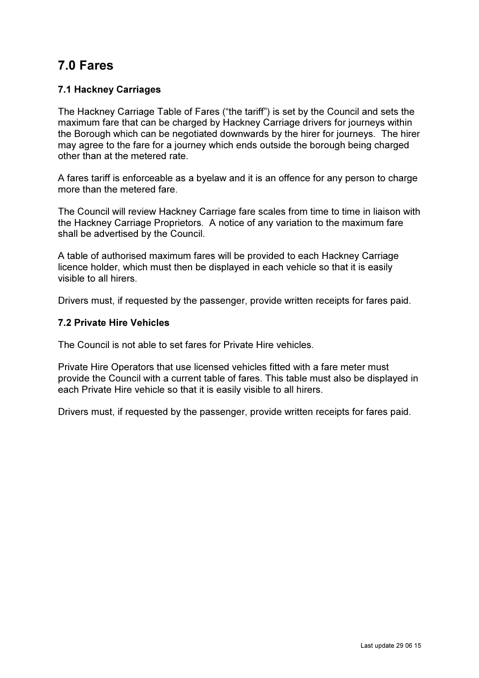# 7.0 Fares

# 7.1 Hackney Carriages

The Hackney Carriage Table of Fares ("the tariff") is set by the Council and sets the maximum fare that can be charged by Hackney Carriage drivers for journeys within the Borough which can be negotiated downwards by the hirer for journeys. The hirer may agree to the fare for a journey which ends outside the borough being charged other than at the metered rate.

A fares tariff is enforceable as a byelaw and it is an offence for any person to charge more than the metered fare.

The Council will review Hackney Carriage fare scales from time to time in liaison with the Hackney Carriage Proprietors. A notice of any variation to the maximum fare shall be advertised by the Council.

A table of authorised maximum fares will be provided to each Hackney Carriage licence holder, which must then be displayed in each vehicle so that it is easily visible to all hirers.

Drivers must, if requested by the passenger, provide written receipts for fares paid.

### 7.2 Private Hire Vehicles

The Council is not able to set fares for Private Hire vehicles.

Private Hire Operators that use licensed vehicles fitted with a fare meter must provide the Council with a current table of fares. This table must also be displayed in each Private Hire vehicle so that it is easily visible to all hirers.

Drivers must, if requested by the passenger, provide written receipts for fares paid.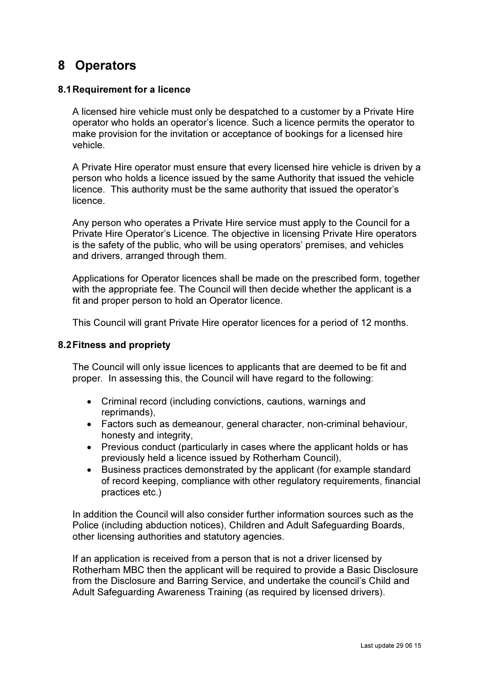# 8 Operators

#### 8.1 Requirement for a licence

A licensed hire vehicle must only be despatched to a customer by a Private Hire operator who holds an operator's licence. Such a licence permits the operator to make provision for the invitation or acceptance of bookings for a licensed hire vehicle.

A Private Hire operator must ensure that every licensed hire vehicle is driven by a person who holds a licence issued by the same Authority that issued the vehicle licence. This authority must be the same authority that issued the operator's licence.

Any person who operates a Private Hire service must apply to the Council for a Private Hire Operator's Licence. The objective in licensing Private Hire operators is the safety of the public, who will be using operators' premises, and vehicles and drivers, arranged through them.

Applications for Operator licences shall be made on the prescribed form, together with the appropriate fee. The Council will then decide whether the applicant is a fit and proper person to hold an Operator licence.

This Council will grant Private Hire operator licences for a period of 12 months.

#### 8.2 Fitness and propriety

The Council will only issue licences to applicants that are deemed to be fit and proper. In assessing this, the Council will have regard to the following:

- Criminal record (including convictions, cautions, warnings and reprimands),
- Factors such as demeanour, general character, non-criminal behaviour, honesty and integrity,
- Previous conduct (particularly in cases where the applicant holds or has previously held a licence issued by Rotherham Council),
- Business practices demonstrated by the applicant (for example standard of record keeping, compliance with other regulatory requirements, financial practices etc.)

In addition the Council will also consider further information sources such as the Police (including abduction notices), Children and Adult Safeguarding Boards, other licensing authorities and statutory agencies.

If an application is received from a person that is not a driver licensed by Rotherham MBC then the applicant will be required to provide a Basic Disclosure from the Disclosure and Barring Service, and undertake the council's Child and Adult Safeguarding Awareness Training (as required by licensed drivers).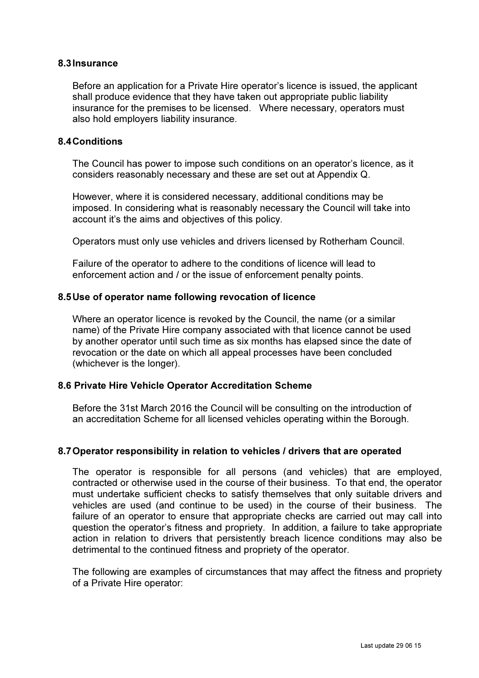#### 8.3 Insurance

Before an application for a Private Hire operator's licence is issued, the applicant shall produce evidence that they have taken out appropriate public liability insurance for the premises to be licensed. Where necessary, operators must also hold employers liability insurance.

#### 8.4 Conditions

The Council has power to impose such conditions on an operator's licence, as it considers reasonably necessary and these are set out at Appendix Q.

However, where it is considered necessary, additional conditions may be imposed. In considering what is reasonably necessary the Council will take into account it's the aims and objectives of this policy.

Operators must only use vehicles and drivers licensed by Rotherham Council.

Failure of the operator to adhere to the conditions of licence will lead to enforcement action and / or the issue of enforcement penalty points.

#### 8.5 Use of operator name following revocation of licence

Where an operator licence is revoked by the Council, the name (or a similar name) of the Private Hire company associated with that licence cannot be used by another operator until such time as six months has elapsed since the date of revocation or the date on which all appeal processes have been concluded (whichever is the longer).

#### 8.6 Private Hire Vehicle Operator Accreditation Scheme

Before the 31st March 2016 the Council will be consulting on the introduction of an accreditation Scheme for all licensed vehicles operating within the Borough.

#### 8.7 Operator responsibility in relation to vehicles / drivers that are operated

The operator is responsible for all persons (and vehicles) that are employed, contracted or otherwise used in the course of their business. To that end, the operator must undertake sufficient checks to satisfy themselves that only suitable drivers and vehicles are used (and continue to be used) in the course of their business. The failure of an operator to ensure that appropriate checks are carried out may call into question the operator's fitness and propriety. In addition, a failure to take appropriate action in relation to drivers that persistently breach licence conditions may also be detrimental to the continued fitness and propriety of the operator.

The following are examples of circumstances that may affect the fitness and propriety of a Private Hire operator: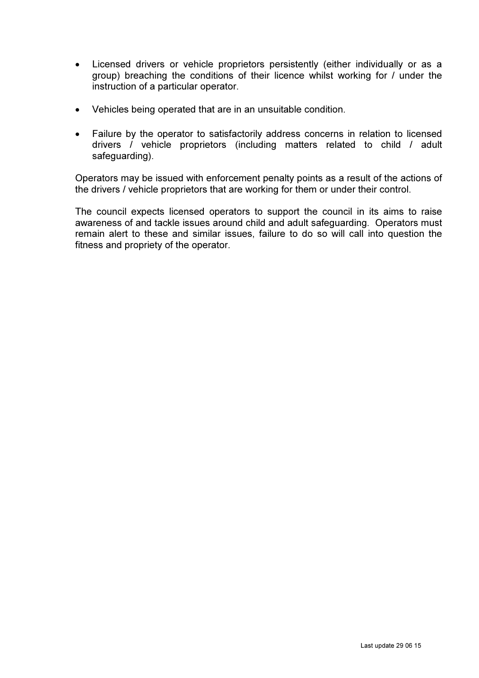- Licensed drivers or vehicle proprietors persistently (either individually or as a group) breaching the conditions of their licence whilst working for / under the instruction of a particular operator.
- Vehicles being operated that are in an unsuitable condition.
- Failure by the operator to satisfactorily address concerns in relation to licensed drivers / vehicle proprietors (including matters related to child / adult safeguarding).

Operators may be issued with enforcement penalty points as a result of the actions of the drivers / vehicle proprietors that are working for them or under their control.

The council expects licensed operators to support the council in its aims to raise awareness of and tackle issues around child and adult safeguarding. Operators must remain alert to these and similar issues, failure to do so will call into question the fitness and propriety of the operator.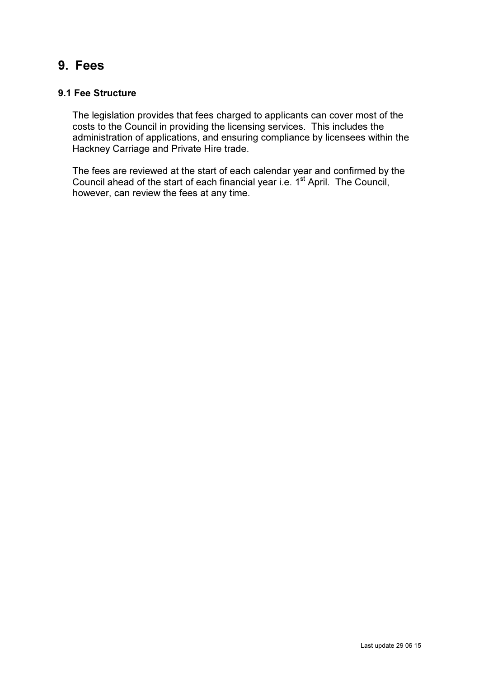# 9. Fees

## 9.1 Fee Structure

The legislation provides that fees charged to applicants can cover most of the costs to the Council in providing the licensing services. This includes the administration of applications, and ensuring compliance by licensees within the Hackney Carriage and Private Hire trade.

The fees are reviewed at the start of each calendar year and confirmed by the Council ahead of the start of each financial year i.e. 1<sup>st</sup> April. The Council, however, can review the fees at any time.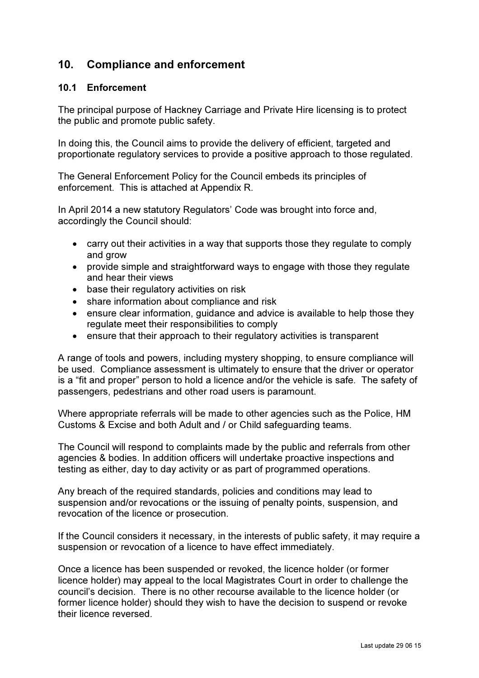# 10. Compliance and enforcement

### 10.1 Enforcement

The principal purpose of Hackney Carriage and Private Hire licensing is to protect the public and promote public safety.

In doing this, the Council aims to provide the delivery of efficient, targeted and proportionate regulatory services to provide a positive approach to those regulated.

The General Enforcement Policy for the Council embeds its principles of enforcement. This is attached at Appendix R.

In April 2014 a new statutory Regulators' Code was brought into force and, accordingly the Council should:

- carry out their activities in a way that supports those they regulate to comply and grow
- provide simple and straightforward ways to engage with those they regulate and hear their views
- base their regulatory activities on risk
- share information about compliance and risk
- ensure clear information, quidance and advice is available to help those they regulate meet their responsibilities to comply
- ensure that their approach to their regulatory activities is transparent

A range of tools and powers, including mystery shopping, to ensure compliance will be used. Compliance assessment is ultimately to ensure that the driver or operator is a "fit and proper" person to hold a licence and/or the vehicle is safe. The safety of passengers, pedestrians and other road users is paramount.

Where appropriate referrals will be made to other agencies such as the Police, HM Customs & Excise and both Adult and / or Child safeguarding teams.

The Council will respond to complaints made by the public and referrals from other agencies & bodies. In addition officers will undertake proactive inspections and testing as either, day to day activity or as part of programmed operations.

Any breach of the required standards, policies and conditions may lead to suspension and/or revocations or the issuing of penalty points, suspension, and revocation of the licence or prosecution.

If the Council considers it necessary, in the interests of public safety, it may require a suspension or revocation of a licence to have effect immediately.

Once a licence has been suspended or revoked, the licence holder (or former licence holder) may appeal to the local Magistrates Court in order to challenge the council's decision. There is no other recourse available to the licence holder (or former licence holder) should they wish to have the decision to suspend or revoke their licence reversed.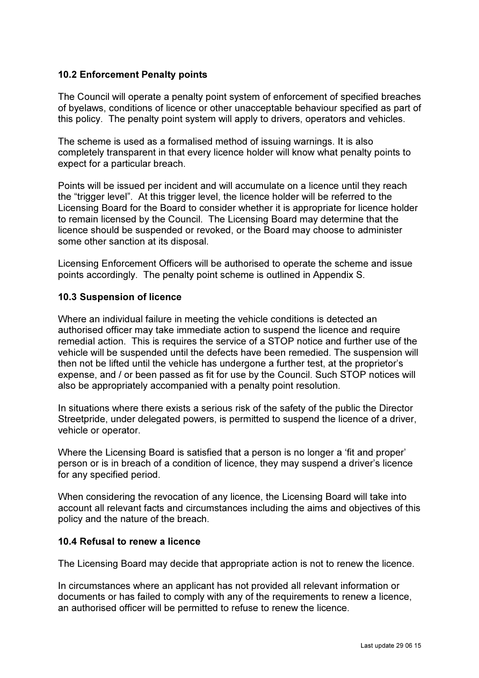#### 10.2 Enforcement Penalty points

The Council will operate a penalty point system of enforcement of specified breaches of byelaws, conditions of licence or other unacceptable behaviour specified as part of this policy. The penalty point system will apply to drivers, operators and vehicles.

The scheme is used as a formalised method of issuing warnings. It is also completely transparent in that every licence holder will know what penalty points to expect for a particular breach.

Points will be issued per incident and will accumulate on a licence until they reach the "trigger level". At this trigger level, the licence holder will be referred to the Licensing Board for the Board to consider whether it is appropriate for licence holder to remain licensed by the Council. The Licensing Board may determine that the licence should be suspended or revoked, or the Board may choose to administer some other sanction at its disposal.

Licensing Enforcement Officers will be authorised to operate the scheme and issue points accordingly. The penalty point scheme is outlined in Appendix S.

#### 10.3 Suspension of licence

Where an individual failure in meeting the vehicle conditions is detected an authorised officer may take immediate action to suspend the licence and require remedial action. This is requires the service of a STOP notice and further use of the vehicle will be suspended until the defects have been remedied. The suspension will then not be lifted until the vehicle has undergone a further test, at the proprietor's expense, and / or been passed as fit for use by the Council. Such STOP notices will also be appropriately accompanied with a penalty point resolution.

In situations where there exists a serious risk of the safety of the public the Director Streetpride, under delegated powers, is permitted to suspend the licence of a driver, vehicle or operator.

Where the Licensing Board is satisfied that a person is no longer a 'fit and proper' person or is in breach of a condition of licence, they may suspend a driver's licence for any specified period.

When considering the revocation of any licence, the Licensing Board will take into account all relevant facts and circumstances including the aims and objectives of this policy and the nature of the breach.

#### 10.4 Refusal to renew a licence

The Licensing Board may decide that appropriate action is not to renew the licence.

In circumstances where an applicant has not provided all relevant information or documents or has failed to comply with any of the requirements to renew a licence, an authorised officer will be permitted to refuse to renew the licence.